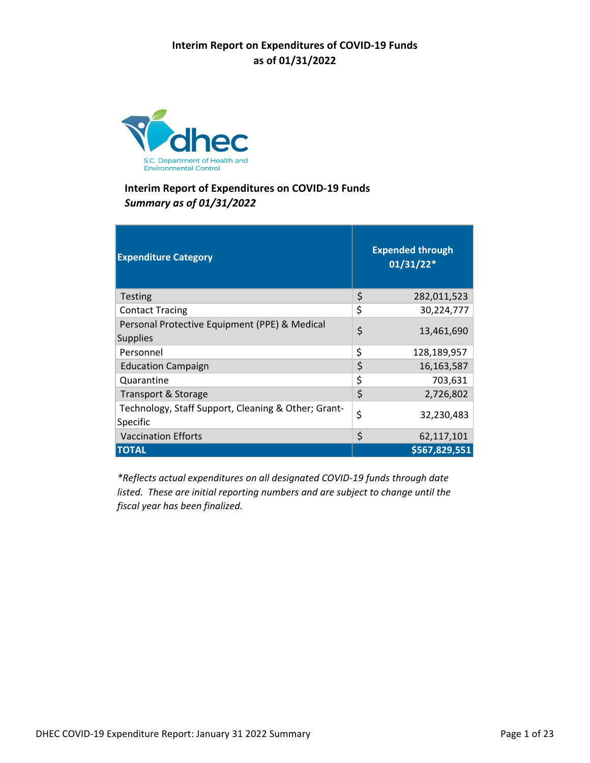

| <b>Expenditure Category</b>                                      | <b>Expended through</b><br>$01/31/22*$ |
|------------------------------------------------------------------|----------------------------------------|
| Testing                                                          | \$<br>282,011,523                      |
| <b>Contact Tracing</b>                                           | \$<br>30,224,777                       |
| Personal Protective Equipment (PPE) & Medical<br><b>Supplies</b> | \$<br>13,461,690                       |
| Personnel                                                        | \$<br>128,189,957                      |
| <b>Education Campaign</b>                                        | \$<br>16,163,587                       |
| Quarantine                                                       | \$<br>703,631                          |
| Transport & Storage                                              | \$<br>2,726,802                        |
| Technology, Staff Support, Cleaning & Other; Grant-<br>Specific  | \$<br>32,230,483                       |
| <b>Vaccination Efforts</b>                                       | \$<br>62,117,101                       |
| <b>TOTAL</b>                                                     | \$567,829,551                          |

*\*Reflects actual expenditures on all designated COVID‐19 funds through date listed. These are initial reporting numbers and are subject to change until the fiscal year has been finalized.*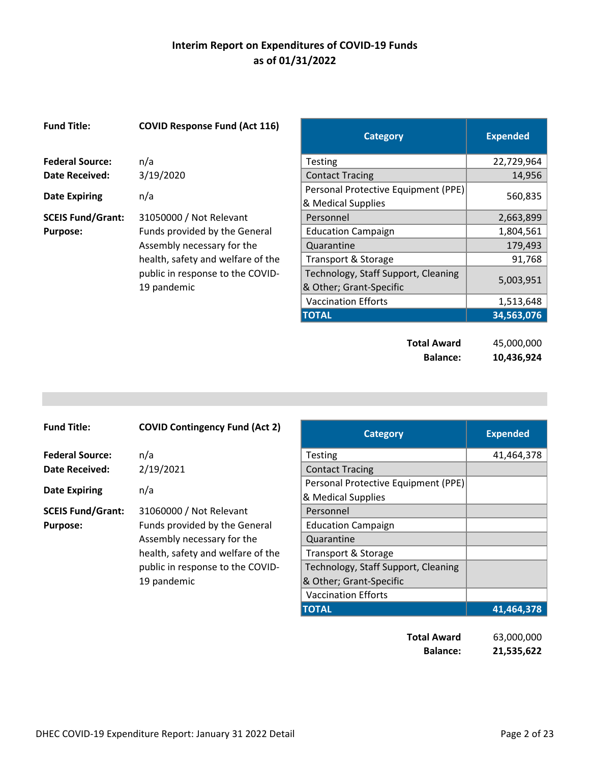| <b>Fund Title:</b>       | <b>COVID Response Fund (Act 116)</b> | <b>Category</b>                                           | <b>Expended</b> |
|--------------------------|--------------------------------------|-----------------------------------------------------------|-----------------|
| <b>Federal Source:</b>   | n/a                                  | <b>Testing</b>                                            | 22,729,964      |
| <b>Date Received:</b>    | 3/19/2020                            | <b>Contact Tracing</b>                                    | 14,956          |
| <b>Date Expiring</b>     | n/a                                  | Personal Protective Equipment (PPE)<br>& Medical Supplies | 560,835         |
| <b>SCEIS Fund/Grant:</b> | 31050000 / Not Relevant              | Personnel                                                 | 2,663,899       |
| <b>Purpose:</b>          | Funds provided by the General        | <b>Education Campaign</b>                                 | 1,804,561       |
|                          | Assembly necessary for the           | Quarantine                                                | 179,493         |
|                          | health, safety and welfare of the    | Transport & Storage                                       | 91,768          |
|                          | public in response to the COVID-     | Technology, Staff Support, Cleaning                       | 5,003,951       |
|                          | 19 pandemic                          | & Other; Grant-Specific                                   |                 |
|                          |                                      | <b>Vaccination Efforts</b>                                | 1,513,648       |
|                          |                                      | <b>TOTAL</b>                                              | 34,563,076      |
|                          |                                      | <b>Total Award</b>                                        | 45,000,000      |

**Jo.000 Balance: 10,436,924** 

| <b>Fund Title:</b>       | <b>COVID Contingency Fund (Act 2)</b> | <b>Category</b>                     | <b>Expended</b> |
|--------------------------|---------------------------------------|-------------------------------------|-----------------|
| <b>Federal Source:</b>   | n/a                                   | <b>Testing</b>                      | 41,464,378      |
| <b>Date Received:</b>    | 2/19/2021                             | <b>Contact Tracing</b>              |                 |
|                          | n/a                                   | Personal Protective Equipment (PPE) |                 |
| <b>Date Expiring</b>     |                                       | & Medical Supplies                  |                 |
| <b>SCEIS Fund/Grant:</b> | 31060000 / Not Relevant               | Personnel                           |                 |
| <b>Purpose:</b>          | Funds provided by the General         | <b>Education Campaign</b>           |                 |
|                          | Assembly necessary for the            | Quarantine                          |                 |
|                          | health, safety and welfare of the     | Transport & Storage                 |                 |
|                          | public in response to the COVID-      | Technology, Staff Support, Cleaning |                 |
|                          | 19 pandemic                           | & Other; Grant-Specific             |                 |
|                          |                                       | Vaccination Efforts                 |                 |

| <b>COVID Contingency Fund (Act 2)</b> | <b>Category</b>                     | <b>Expended</b> |
|---------------------------------------|-------------------------------------|-----------------|
| n/a                                   | <b>Testing</b>                      | 41,464,378      |
| 2/19/2021                             | <b>Contact Tracing</b>              |                 |
| n/a                                   | Personal Protective Equipment (PPE) |                 |
|                                       | & Medical Supplies                  |                 |
| 31060000 / Not Relevant               | Personnel                           |                 |
| Funds provided by the General         | <b>Education Campaign</b>           |                 |
| Assembly necessary for the            | Quarantine                          |                 |
| health, safety and welfare of the     | Transport & Storage                 |                 |
| public in response to the COVID-      | Technology, Staff Support, Cleaning |                 |
| 19 pandemic                           | & Other; Grant-Specific             |                 |
|                                       | <b>Vaccination Efforts</b>          |                 |
|                                       | <b>TOTAL</b>                        | 41.464.378      |

**Total Award** 63,000,000 **Balance: 21,535,622**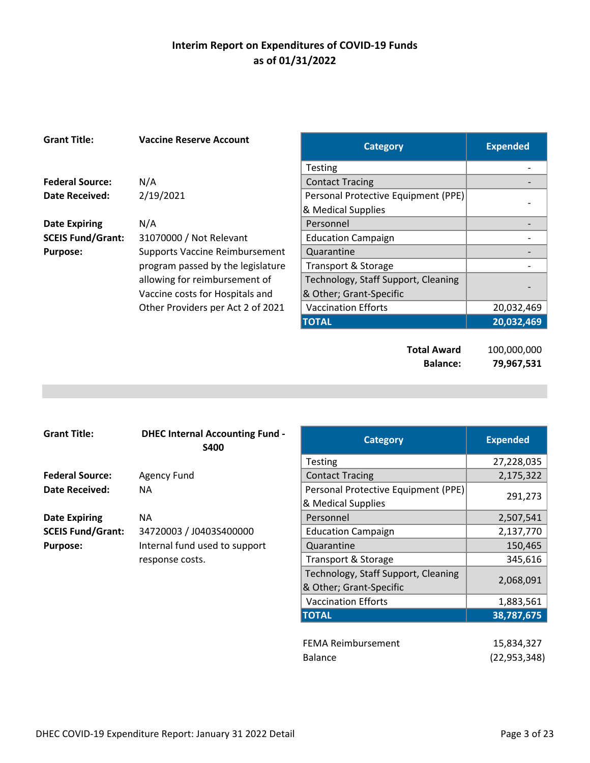| <b>Grant Title:</b>      | <b>Vaccine Reserve Account</b>        | <b>Category</b>                     | <b>Expended</b> |
|--------------------------|---------------------------------------|-------------------------------------|-----------------|
|                          |                                       | <b>Testing</b>                      |                 |
| <b>Federal Source:</b>   | N/A                                   | <b>Contact Tracing</b>              |                 |
| <b>Date Received:</b>    | 2/19/2021                             | Personal Protective Equipment (PPE) |                 |
|                          |                                       | & Medical Supplies                  |                 |
| <b>Date Expiring</b>     | N/A                                   | Personnel                           |                 |
| <b>SCEIS Fund/Grant:</b> | 31070000 / Not Relevant               | <b>Education Campaign</b>           |                 |
| <b>Purpose:</b>          | <b>Supports Vaccine Reimbursement</b> | Quarantine                          |                 |
|                          | program passed by the legislature     | Transport & Storage                 |                 |
|                          | allowing for reimbursement of         | Technology, Staff Support, Cleaning |                 |
|                          | Vaccine costs for Hospitals and       | & Other; Grant-Specific             |                 |
|                          | Other Providers per Act 2 of 2021     | <b>Vaccination Efforts</b>          | 20,032,469      |
|                          |                                       | <b>TOTAL</b>                        | 20,032,469      |
|                          |                                       |                                     |                 |
|                          |                                       | <b>Total Award</b>                  | 100,000,000     |
|                          |                                       | <b>Balance:</b>                     | 79,967,531      |

| <b>Grant Title:</b>      | <b>DHEC Internal Accounting Fund -</b><br><b>S400</b> | <b>Category</b>                     | <b>Expended</b> |
|--------------------------|-------------------------------------------------------|-------------------------------------|-----------------|
|                          |                                                       | <b>Testing</b>                      | 27,228,035      |
| <b>Federal Source:</b>   | Agency Fund                                           | <b>Contact Tracing</b>              | 2,175,322       |
| Date Received:           | NА                                                    | Personal Protective Equipment (PPE) |                 |
|                          |                                                       | & Medical Supplies                  | 291,273         |
| <b>Date Expiring</b>     | NА                                                    | Personnel                           | 2,507,541       |
| <b>SCEIS Fund/Grant:</b> | 34720003 / J0403S400000                               | <b>Education Campaign</b>           | 2,137,770       |
| <b>Purpose:</b>          | Internal fund used to support                         | Quarantine                          | 150,465         |
|                          | response costs.                                       | Transport & Storage                 | 345,616         |
|                          |                                                       | Technology Staff Sunnort Cleaning   |                 |

| <b>Accounting Fund -</b><br>S400 | <b>Category</b>                                                | <b>Expended</b> |
|----------------------------------|----------------------------------------------------------------|-----------------|
|                                  | Testing                                                        | 27,228,035      |
|                                  | <b>Contact Tracing</b>                                         | 2,175,322       |
|                                  | Personal Protective Equipment (PPE)<br>& Medical Supplies      | 291,273         |
|                                  | Personnel                                                      | 2,507,541       |
| 103S400000                       | <b>Education Campaign</b>                                      | 2,137,770       |
| sed to support                   | Quarantine                                                     | 150,465         |
| $\bullet$                        | Transport & Storage                                            | 345,616         |
|                                  | Technology, Staff Support, Cleaning<br>& Other; Grant-Specific | 2,068,091       |
|                                  | <b>Vaccination Efforts</b>                                     | 1,883,561       |
|                                  | <b>TOTAL</b>                                                   | 38,787,675      |
|                                  | <b>FEMA Reimbursement</b>                                      | 15,834,327      |

| FEMA Reimbursement | 15,834,327     |
|--------------------|----------------|
| <b>Balance</b>     | (22, 953, 348) |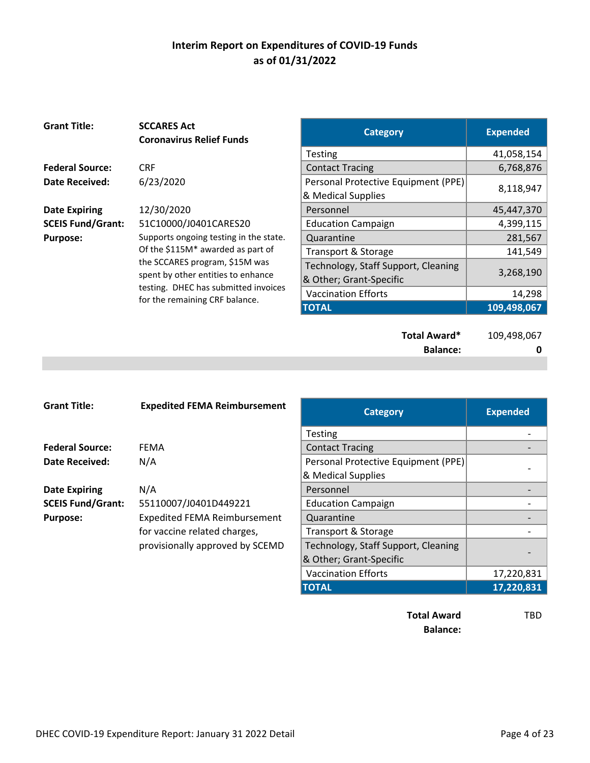| <b>Grant Title:</b>      | <b>SCCARES Act</b><br><b>Coronavirus Relief Funds</b> | <b>Category</b>                     | <b>Expended</b>  |
|--------------------------|-------------------------------------------------------|-------------------------------------|------------------|
|                          |                                                       | Testing                             | 41,058,154       |
| <b>Federal Source:</b>   | <b>CRF</b>                                            | <b>Contact Tracing</b>              | 6,768,876        |
| <b>Date Received:</b>    | 6/23/2020                                             | Personal Protective Equipment (PPE) |                  |
|                          |                                                       | & Medical Supplies                  | 8,118,947        |
| <b>Date Expiring</b>     | 12/30/2020                                            | Personnel                           | 45,447,370       |
| <b>SCEIS Fund/Grant:</b> | 51C10000/J0401CARES20                                 | <b>Education Campaign</b>           | 4,399,115        |
| <b>Purpose:</b>          | Supports ongoing testing in the state.                | Quarantine                          | 281,567          |
|                          | Of the \$115M* awarded as part of                     | Transport & Storage                 | 141,549          |
|                          | the SCCARES program, \$15M was                        | Technology, Staff Support, Cleaning |                  |
|                          | spent by other entities to enhance                    | & Other; Grant-Specific             | 3,268,190        |
|                          | testing. DHEC has submitted invoices                  | <b>Vaccination Efforts</b>          | 14,298           |
|                          | for the remaining CRF balance.                        | <b>TOTAL</b>                        | 109,498,067      |
|                          |                                                       | Total Award*<br><b>Balance:</b>     | 109,498,067<br>0 |

| <b>Grant Title:</b>      | <b>Expedited FEMA Reimbursement</b> | <b>Category</b>                     | <b>Expended</b> |
|--------------------------|-------------------------------------|-------------------------------------|-----------------|
|                          |                                     | Testing                             |                 |
| <b>Federal Source:</b>   | <b>FEMA</b>                         | <b>Contact Tracing</b>              |                 |
| <b>Date Received:</b>    | N/A                                 | Personal Protective Equipment (PPE) |                 |
|                          |                                     | & Medical Supplies                  |                 |
| <b>Date Expiring</b>     | N/A                                 | Personnel                           |                 |
| <b>SCEIS Fund/Grant:</b> | 55110007/J0401D449221               | <b>Education Campaign</b>           |                 |
| <b>Purpose:</b>          | <b>Expedited FEMA Reimbursement</b> | Quarantine                          |                 |
|                          | for vaccine related charges,        | Transport & Storage                 |                 |
|                          | provisionally approved by SCEMD     | Technology, Staff Support, Cleaning |                 |
|                          |                                     | & Other; Grant-Specific             |                 |
|                          |                                     | <b>Vaccination Efforts</b>          | 17,220,831      |
|                          |                                     | <b>TOTAL</b>                        | 17,220,831      |

**Total Award** TBD **Balance:**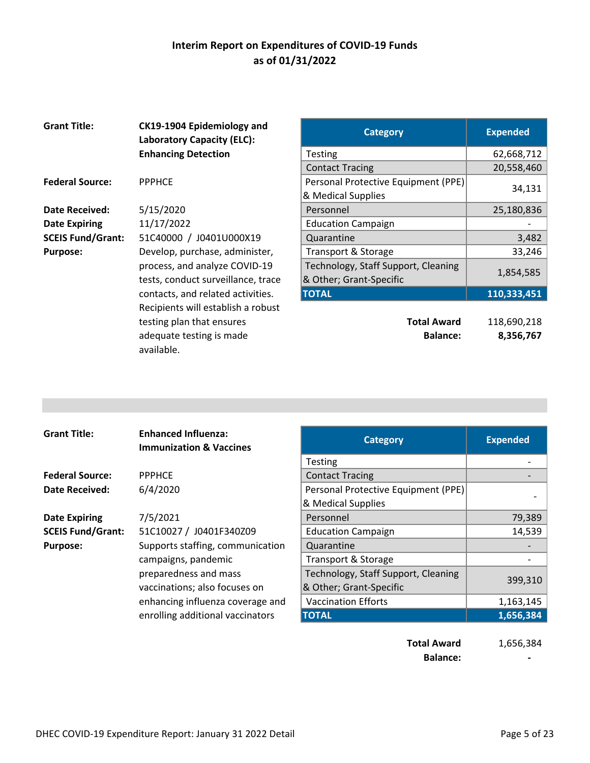| <b>Grant Title:</b>      | CK19-1904 Epidemiology and<br><b>Laboratory Capacity (ELC):</b> | <b>Category</b>                     | <b>Expended</b> |
|--------------------------|-----------------------------------------------------------------|-------------------------------------|-----------------|
|                          | <b>Enhancing Detection</b>                                      | <b>Testing</b>                      | 62,668,712      |
|                          |                                                                 | <b>Contact Tracing</b>              | 20,558,460      |
| <b>Federal Source:</b>   | <b>PPPHCE</b>                                                   | Personal Protective Equipment (PPE) |                 |
|                          |                                                                 | & Medical Supplies                  | 34,131          |
| <b>Date Received:</b>    | 5/15/2020                                                       | Personnel                           | 25,180,836      |
| <b>Date Expiring</b>     | 11/17/2022                                                      | <b>Education Campaign</b>           |                 |
| <b>SCEIS Fund/Grant:</b> | 51C40000 / J0401U000X19                                         | Quarantine                          | 3,482           |
| <b>Purpose:</b>          | Develop, purchase, administer,                                  | Transport & Storage                 | 33,246          |
|                          | process, and analyze COVID-19                                   | Technology, Staff Support, Cleaning |                 |
|                          | tests, conduct surveillance, trace                              | & Other; Grant-Specific             | 1,854,585       |
|                          | contacts, and related activities.                               | <b>TOTAL</b>                        | 110,333,451     |
|                          | Recipients will establish a robust                              |                                     |                 |
|                          | testing plan that ensures                                       | <b>Total Award</b>                  | 118,690,218     |
|                          | adequate testing is made<br>available.                          | <b>Balance:</b>                     | 8,356,767       |

| <b>Category</b>                                                | <b>Expended</b> |
|----------------------------------------------------------------|-----------------|
| Testing                                                        | 62,668,712      |
| <b>Contact Tracing</b>                                         | 20,558,460      |
| Personal Protective Equipment (PPE)<br>& Medical Supplies      | 34,131          |
| Personnel                                                      | 25,180,836      |
| <b>Education Campaign</b>                                      |                 |
| Quarantine                                                     | 3,482           |
| Transport & Storage                                            | 33,246          |
| Technology, Staff Support, Cleaning<br>& Other; Grant-Specific | 1,854,585       |
| <b>TOTAL</b>                                                   | 110,333,451     |
|                                                                |                 |

| <b>Total Award</b> | 118,690,218 |
|--------------------|-------------|
| <b>Balance:</b>    | 8,356,767   |

| <b>Grant Title:</b>      | <b>Enhanced Influenza:</b><br><b>Immunization &amp; Vaccines</b> | <b>Category</b>                     | <b>Expended</b> |
|--------------------------|------------------------------------------------------------------|-------------------------------------|-----------------|
|                          |                                                                  | <b>Testing</b>                      |                 |
| <b>Federal Source:</b>   | <b>PPPHCE</b>                                                    | <b>Contact Tracing</b>              |                 |
| Date Received:           | 6/4/2020                                                         | Personal Protective Equipment (PPE) |                 |
|                          |                                                                  | & Medical Supplies                  |                 |
| <b>Date Expiring</b>     | 7/5/2021                                                         | Personnel                           | 79,389          |
| <b>SCEIS Fund/Grant:</b> | 51C10027 / J0401F340Z09                                          | <b>Education Campaign</b>           | 14,539          |
| <b>Purpose:</b>          | Supports staffing, communication                                 | Quarantine                          |                 |
|                          | campaigns, pandemic                                              | Transport & Storage                 |                 |
|                          | preparedness and mass                                            | Technology, Staff Support, Cleaning |                 |
|                          | vaccinations; also focuses on                                    | & Other; Grant-Specific             | 399,310         |
|                          | enhancing influenza coverage and                                 | <b>Vaccination Efforts</b>          | 1,163,145       |
|                          | enrolling additional vaccinators                                 | <b>TOTAL</b>                        | 1,656,384       |
|                          |                                                                  |                                     |                 |

**Total Award** 1,656,384 **Balance: 1999**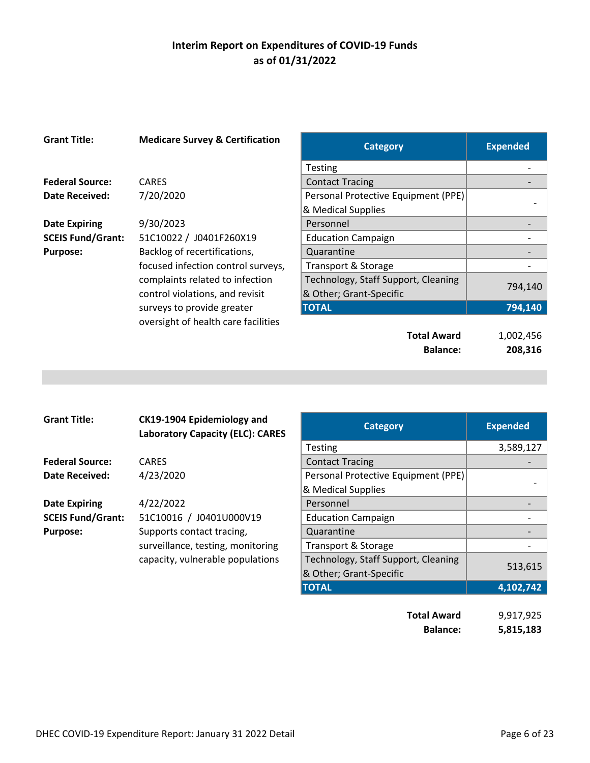| <b>Grant Title:</b>      | <b>Medicare Survey &amp; Certification</b>                         | <b>Category</b>                                                | <b>Expended</b> |
|--------------------------|--------------------------------------------------------------------|----------------------------------------------------------------|-----------------|
|                          |                                                                    | <b>Testing</b>                                                 |                 |
| <b>Federal Source:</b>   | <b>CARES</b>                                                       | <b>Contact Tracing</b>                                         |                 |
| <b>Date Received:</b>    | 7/20/2020                                                          | Personal Protective Equipment (PPE)                            |                 |
|                          |                                                                    | & Medical Supplies                                             |                 |
| <b>Date Expiring</b>     | 9/30/2023                                                          | Personnel                                                      |                 |
| <b>SCEIS Fund/Grant:</b> | 51C10022 / J0401F260X19                                            | <b>Education Campaign</b>                                      |                 |
| <b>Purpose:</b>          | Backlog of recertifications,                                       | Quarantine                                                     |                 |
|                          | focused infection control surveys,                                 | Transport & Storage                                            |                 |
|                          | complaints related to infection<br>control violations, and revisit | Technology, Staff Support, Cleaning<br>& Other; Grant-Specific | 794,140         |
|                          | surveys to provide greater                                         | <b>TOTAL</b>                                                   | 794,140         |
|                          | oversight of health care facilities                                |                                                                |                 |
|                          |                                                                    | <b>Total Award</b>                                             | 1,002,456       |
|                          |                                                                    | <b>Balance:</b>                                                | 208,316         |

| <b>Grant Title:</b>      | CK19-1904 Epidemiology and<br><b>Laboratory Capacity (ELC): CARES</b> | <b>Category</b>                     | <b>Expended</b> |
|--------------------------|-----------------------------------------------------------------------|-------------------------------------|-----------------|
|                          |                                                                       | <b>Testing</b>                      | 3,589,1         |
| <b>Federal Source:</b>   | <b>CARES</b>                                                          | <b>Contact Tracing</b>              |                 |
| Date Received:           | 4/23/2020                                                             | Personal Protective Equipment (PPE) |                 |
|                          |                                                                       | & Medical Supplies                  |                 |
| <b>Date Expiring</b>     | 4/22/2022                                                             | Personnel                           |                 |
| <b>SCEIS Fund/Grant:</b> | 51C10016 / J0401U000V19                                               | <b>Education Campaign</b>           |                 |
| Purpose:                 | Supports contact tracing,                                             | Quarantine                          |                 |
|                          | surveillance, testing, monitoring                                     | Transport & Storage                 |                 |
|                          | capacity, vulnerable populations                                      | Technology, Staff Support, Cleaning | F 12C           |

| CK19-1904 Epidemiology and<br><b>Laboratory Capacity (ELC): CARES</b> | <b>Category</b>                                                | <b>Expended</b> |
|-----------------------------------------------------------------------|----------------------------------------------------------------|-----------------|
|                                                                       | <b>Testing</b>                                                 | 3,589,127       |
| CARES                                                                 | <b>Contact Tracing</b>                                         |                 |
| 4/23/2020                                                             | Personal Protective Equipment (PPE)                            |                 |
|                                                                       | & Medical Supplies                                             |                 |
| 4/22/2022                                                             | Personnel                                                      |                 |
| 51C10016 / J0401U000V19                                               | <b>Education Campaign</b>                                      |                 |
| Supports contact tracing,                                             | Quarantine                                                     |                 |
| surveillance, testing, monitoring                                     | Transport & Storage                                            |                 |
| capacity, vulnerable populations                                      | Technology, Staff Support, Cleaning<br>& Other; Grant-Specific | 513,615         |
|                                                                       | <b>TOTAL</b>                                                   | 4,102,742       |
|                                                                       |                                                                |                 |

| <b>Total Award</b> | 9,917,925 |
|--------------------|-----------|
| <b>Balance:</b>    | 5,815,183 |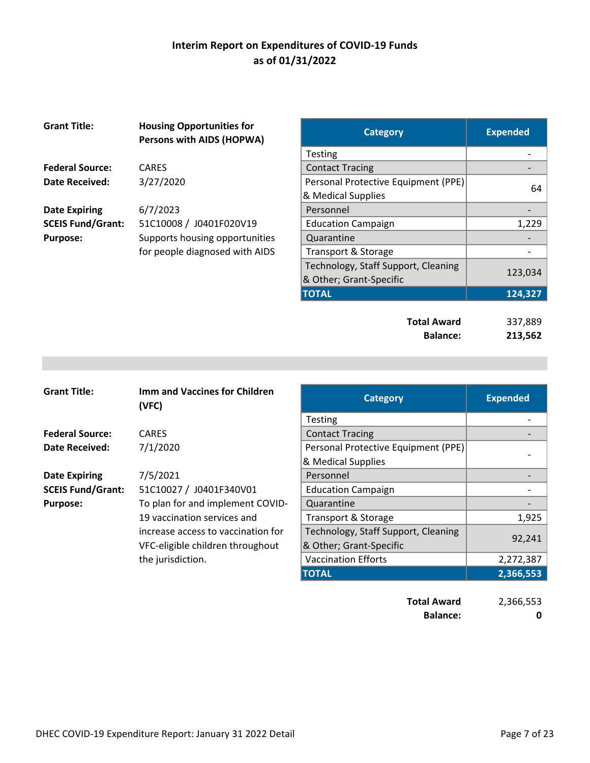| <b>Grant Title:</b>      | <b>Housing Opportunities for</b><br>Persons with AIDS (HOPWA) | <b>Category</b>                     | <b>Expended</b> |
|--------------------------|---------------------------------------------------------------|-------------------------------------|-----------------|
|                          |                                                               | <b>Testing</b>                      |                 |
| <b>Federal Source:</b>   | <b>CARES</b>                                                  | <b>Contact Tracing</b>              |                 |
| <b>Date Received:</b>    | 3/27/2020                                                     | Personal Protective Equipment (PPE) |                 |
|                          |                                                               | & Medical Supplies                  | 64              |
| <b>Date Expiring</b>     | 6/7/2023                                                      | Personnel                           |                 |
| <b>SCEIS Fund/Grant:</b> | 51C10008 / J0401F020V19                                       | <b>Education Campaign</b>           | 1,229           |
| <b>Purpose:</b>          | Supports housing opportunities                                | Quarantine                          |                 |
|                          | for people diagnosed with AIDS                                | Transport & Storage                 |                 |
|                          |                                                               | Technology, Staff Support, Cleaning |                 |
|                          |                                                               | & Other; Grant-Specific             | 123,034         |

| <b>Housing Opportunities for</b><br><b>Persons with AIDS (HOPWA)</b> | <b>Category</b>                     | <b>Expended</b> |
|----------------------------------------------------------------------|-------------------------------------|-----------------|
|                                                                      | <b>Testing</b>                      |                 |
| CARES                                                                | <b>Contact Tracing</b>              |                 |
| 3/27/2020                                                            | Personal Protective Equipment (PPE) | 64              |
|                                                                      | & Medical Supplies                  |                 |
| 6/7/2023                                                             | Personnel                           |                 |
| 51C10008 / J0401F020V19                                              | <b>Education Campaign</b>           | 1,229           |
| Supports housing opportunities                                       | Quarantine                          |                 |
| for people diagnosed with AIDS                                       | Transport & Storage                 |                 |
|                                                                      | Technology, Staff Support, Cleaning |                 |
|                                                                      | & Other; Grant-Specific             | 123,034         |
|                                                                      | <b>TOTAL</b>                        | 124,327         |
|                                                                      |                                     |                 |

| <b>Total Award</b> | 337,889 |
|--------------------|---------|
| <b>Balance:</b>    | 213,562 |

| <b>Grant Title:</b>      | <b>Imm and Vaccines for Children</b><br>(VFC)                          | <b>Category</b>                                                | <b>Expended</b> |
|--------------------------|------------------------------------------------------------------------|----------------------------------------------------------------|-----------------|
|                          |                                                                        | <b>Testing</b>                                                 |                 |
| <b>Federal Source:</b>   | <b>CARES</b>                                                           | <b>Contact Tracing</b>                                         |                 |
| Date Received:           | 7/1/2020                                                               | Personal Protective Equipment (PPE)                            |                 |
|                          |                                                                        | & Medical Supplies                                             |                 |
| <b>Date Expiring</b>     | 7/5/2021                                                               | Personnel                                                      |                 |
| <b>SCEIS Fund/Grant:</b> | 51C10027 / J0401F340V01                                                | <b>Education Campaign</b>                                      |                 |
| <b>Purpose:</b>          | To plan for and implement COVID-                                       | Quarantine                                                     |                 |
|                          | 19 vaccination services and                                            | Transport & Storage                                            | 1,925           |
|                          | increase access to vaccination for<br>VFC-eligible children throughout | Technology, Staff Support, Cleaning<br>& Other; Grant-Specific | 92,241          |
|                          | the jurisdiction.                                                      | <b>Vaccination Efforts</b>                                     | 2,272,387       |
|                          |                                                                        | <b>TOTAL</b>                                                   | 2,366,553       |
|                          |                                                                        |                                                                |                 |

**Total Award** 2,366,553 **Balance:** 0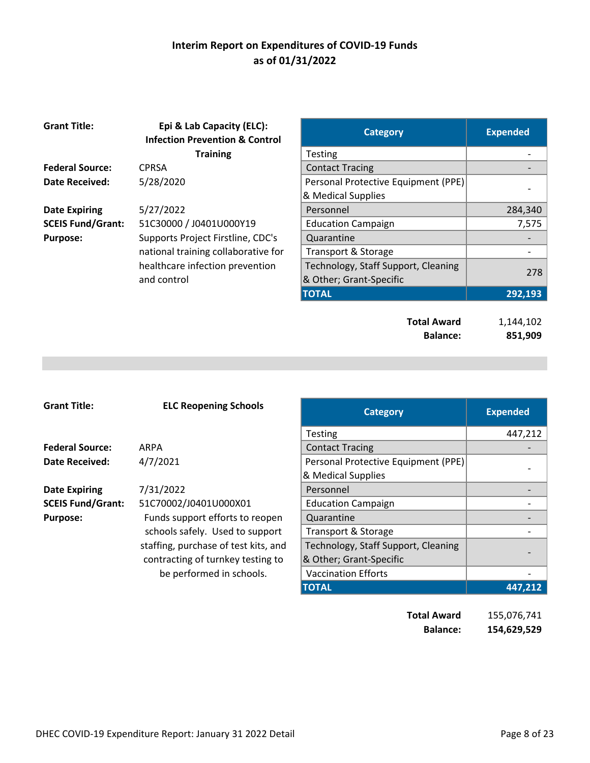| <b>Grant Title:</b>      | Epi & Lab Capacity (ELC):<br><b>Infection Prevention &amp; Control</b> | <b>Category</b>                     | <b>Expended</b> |
|--------------------------|------------------------------------------------------------------------|-------------------------------------|-----------------|
|                          | <b>Training</b>                                                        | <b>Testing</b>                      |                 |
| <b>Federal Source:</b>   | <b>CPRSA</b>                                                           | <b>Contact Tracing</b>              |                 |
| <b>Date Received:</b>    | 5/28/2020                                                              | Personal Protective Equipment (PPE) |                 |
|                          |                                                                        | & Medical Supplies                  |                 |
| <b>Date Expiring</b>     | 5/27/2022                                                              | Personnel                           | 284,340         |
| <b>SCEIS Fund/Grant:</b> | 51C30000 / J0401U000Y19                                                | <b>Education Campaign</b>           | 7,575           |
| <b>Purpose:</b>          | Supports Project Firstline, CDC's                                      | Quarantine                          |                 |
|                          | national training collaborative for                                    | Transport & Storage                 |                 |
|                          | healthcare infection prevention                                        | Technology, Staff Support, Cleaning |                 |
|                          | and control                                                            | & Other; Grant-Specific             | 278             |
|                          |                                                                        | <b>TOTAL</b>                        | 292,193         |
|                          |                                                                        |                                     |                 |
|                          |                                                                        | <b>Total Award</b>                  | 1,144,102       |
|                          |                                                                        | <b>Balance:</b>                     | 851,909         |

| <b>Grant Title:</b>      | <b>ELC Reopening Schools</b>         | <b>Category</b>                     | <b>Expended</b> |
|--------------------------|--------------------------------------|-------------------------------------|-----------------|
|                          |                                      | <b>Testing</b>                      | 447,212         |
| <b>Federal Source:</b>   | ARPA                                 | <b>Contact Tracing</b>              |                 |
| Date Received:           | 4/7/2021                             | Personal Protective Equipment (PPE) |                 |
|                          |                                      | & Medical Supplies                  |                 |
| <b>Date Expiring</b>     | 7/31/2022                            | Personnel                           |                 |
| <b>SCEIS Fund/Grant:</b> | 51C70002/J0401U000X01                | <b>Education Campaign</b>           |                 |
| <b>Purpose:</b>          | Funds support efforts to reopen      | Quarantine                          |                 |
|                          | schools safely. Used to support      | Transport & Storage                 |                 |
|                          | staffing, purchase of test kits, and | Technology, Staff Support, Cleaning |                 |
|                          | contracting of turnkey testing to    | & Other; Grant-Specific             |                 |
|                          | be performed in schools.             | <b>Vaccination Efforts</b>          |                 |
|                          |                                      | <b>TOTAL</b>                        | 447,212         |

**Total Award** 155,076,741 **Balance: 154,629,529**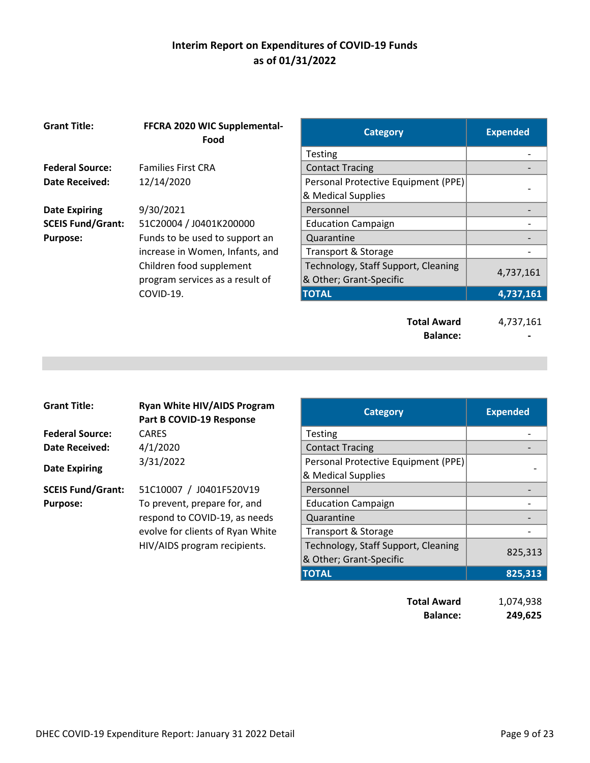| <b>Grant Title:</b>      | FFCRA 2020 WIC Supplemental-<br>Food | <b>Category</b>                       | <b>Expended</b> |
|--------------------------|--------------------------------------|---------------------------------------|-----------------|
|                          |                                      | Testing                               |                 |
| <b>Federal Source:</b>   | <b>Families First CRA</b>            | <b>Contact Tracing</b>                |                 |
| <b>Date Received:</b>    | 12/14/2020                           | Personal Protective Equipment (PPE)   |                 |
|                          |                                      | & Medical Supplies                    |                 |
| <b>Date Expiring</b>     | 9/30/2021                            | Personnel                             |                 |
| <b>SCEIS Fund/Grant:</b> | 51C20004 / J0401K200000              | <b>Education Campaign</b>             |                 |
| <b>Purpose:</b>          | Funds to be used to support an       | Quarantine                            |                 |
|                          | increase in Women, Infants, and      | Transport & Storage                   |                 |
|                          | Children food supplement             | Technology, Staff Support, Cleaning   |                 |
|                          | program services as a result of      | & Other; Grant-Specific               | 4,737,161       |
|                          | COVID-19.                            | <b>TOTAL</b>                          | 4,737,161       |
|                          |                                      | <b>Total Award</b><br><b>Balance:</b> | 4,737,161       |

| <b>Grant Title:</b>      | <b>Ryan White HIV/AIDS Program</b><br>Part B COVID-19 Response | <b>Category</b>                     | <b>Expended</b> |
|--------------------------|----------------------------------------------------------------|-------------------------------------|-----------------|
| <b>Federal Source:</b>   | <b>CARES</b>                                                   | <b>Testing</b>                      |                 |
| <b>Date Received:</b>    | 4/1/2020                                                       | <b>Contact Tracing</b>              |                 |
|                          | 3/31/2022                                                      | Personal Protective Equipment (PPE) |                 |
| <b>Date Expiring</b>     |                                                                | & Medical Supplies                  |                 |
| <b>SCEIS Fund/Grant:</b> | 51C10007 / J0401F520V19                                        | Personnel                           |                 |
| <b>Purpose:</b>          | To prevent, prepare for, and                                   | <b>Education Campaign</b>           |                 |
|                          | respond to COVID-19, as needs                                  | Quarantine                          |                 |
|                          | evolve for clients of Ryan White                               | Transport & Storage                 |                 |
|                          | HIV/AIDS program recipients.                                   | Technology, Staff Support, Cleaning |                 |
|                          |                                                                | & Other; Grant-Specific             | 825,313         |
|                          |                                                                | <b>TOTAL</b>                        | 825,313         |

| <b>Total Award</b> | 1,074,938 |
|--------------------|-----------|
| <b>Balance:</b>    | 249,625   |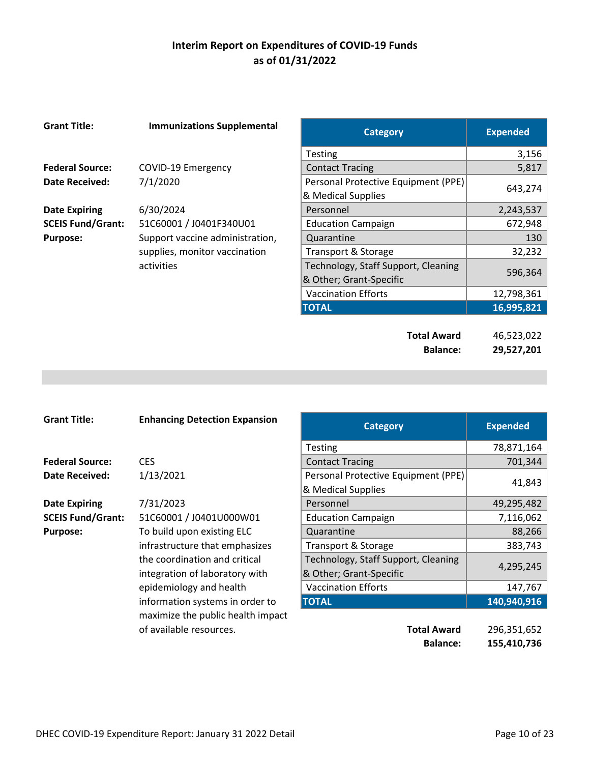| <b>Grant Title:</b>      | <b>Immunizations Supplemental</b> | <b>Category</b>                     | <b>Expended</b> |
|--------------------------|-----------------------------------|-------------------------------------|-----------------|
|                          |                                   | Testing                             | 3,156           |
| <b>Federal Source:</b>   | COVID-19 Emergency                | <b>Contact Tracing</b>              | 5,817           |
| Date Received:           | 7/1/2020                          | Personal Protective Equipment (PPE) | 643,274         |
|                          |                                   | & Medical Supplies                  |                 |
| <b>Date Expiring</b>     | 6/30/2024                         | Personnel                           | 2,243,537       |
| <b>SCEIS Fund/Grant:</b> | 51C60001 / J0401F340U01           | <b>Education Campaign</b>           | 672,948         |
| <b>Purpose:</b>          | Support vaccine administration,   | Quarantine                          | 130             |
|                          | supplies, monitor vaccination     | Transport & Storage                 | 32,232          |
|                          | activities                        | Technology, Staff Support, Cleaning | 596,364         |
|                          |                                   | & Other; Grant-Specific             |                 |
|                          |                                   | <b>Vaccination Efforts</b>          | 12,798,361      |
|                          |                                   | <b>TOTAL</b>                        | 16,995,821      |
|                          |                                   |                                     |                 |
|                          |                                   | <b>Total Award</b>                  | 46,523,022      |
|                          |                                   | <b>Balance:</b>                     | 29,527,201      |
|                          |                                   |                                     |                 |

| <b>Grant Title:</b>      | <b>Enhancing Detection Expansion</b> | <b>Category</b>                                           | <b>Expended</b> |
|--------------------------|--------------------------------------|-----------------------------------------------------------|-----------------|
|                          |                                      | <b>Testing</b>                                            | 78,871,164      |
| <b>Federal Source:</b>   | <b>CES</b>                           | <b>Contact Tracing</b>                                    | 701,344         |
| <b>Date Received:</b>    | 1/13/2021                            | Personal Protective Equipment (PPE)<br>& Medical Supplies | 41,843          |
| <b>Date Expiring</b>     | 7/31/2023                            | Personnel                                                 | 49,295,482      |
| <b>SCEIS Fund/Grant:</b> | 51C60001 / J0401U000W01              | <b>Education Campaign</b>                                 | 7,116,062       |
| <b>Purpose:</b>          | To build upon existing ELC           | Quarantine                                                | 88,266          |
|                          | infrastructure that emphasizes       | Transport & Storage                                       | 383,743         |
|                          | the coordination and critical        | Technology, Staff Support, Cleaning                       | 4,295,245       |
|                          | integration of laboratory with       | & Other; Grant-Specific                                   |                 |
|                          | epidemiology and health              | <b>Vaccination Efforts</b>                                | 147,767         |
|                          | information systems in order to      | <b>TOTAL</b>                                              | 140,940,916     |
|                          | maximize the public health impact    |                                                           |                 |
|                          | of available resources.              | <b>Total Award</b>                                        | 296,351,652     |
|                          |                                      | <b>Balance:</b>                                           | 155,410,736     |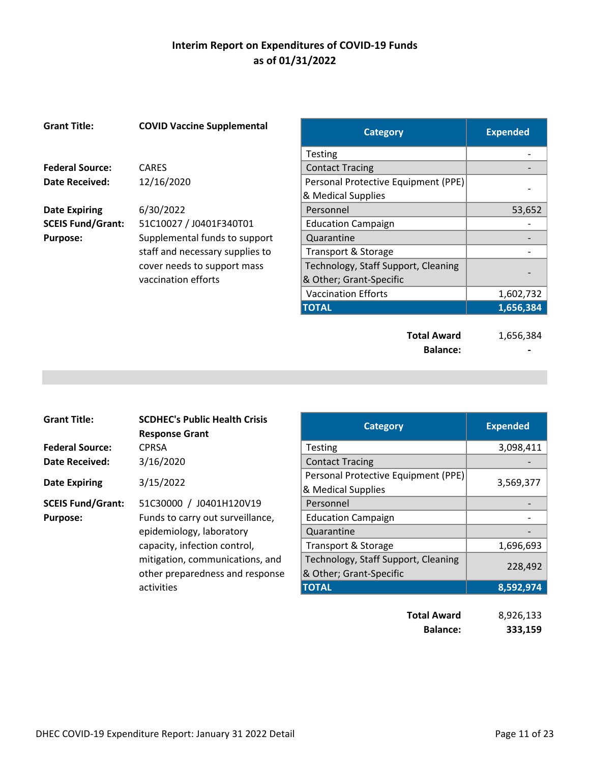| <b>Grant Title:</b>      | <b>COVID Vaccine Supplemental</b>                  | <b>Category</b>                                                | <b>Expended</b> |
|--------------------------|----------------------------------------------------|----------------------------------------------------------------|-----------------|
|                          |                                                    | Testing                                                        |                 |
| <b>Federal Source:</b>   | <b>CARES</b>                                       | <b>Contact Tracing</b>                                         |                 |
| Date Received:           | 12/16/2020                                         | Personal Protective Equipment (PPE)<br>& Medical Supplies      |                 |
| <b>Date Expiring</b>     | 6/30/2022                                          | Personnel                                                      | 53,652          |
| <b>SCEIS Fund/Grant:</b> | 51C10027 / J0401F340T01                            | <b>Education Campaign</b>                                      |                 |
| <b>Purpose:</b>          | Supplemental funds to support                      | Quarantine                                                     |                 |
|                          | staff and necessary supplies to                    | <b>Transport &amp; Storage</b>                                 |                 |
|                          | cover needs to support mass<br>vaccination efforts | Technology, Staff Support, Cleaning<br>& Other; Grant-Specific |                 |
|                          |                                                    | <b>Vaccination Efforts</b>                                     | 1,602,732       |
|                          |                                                    | <b>TOTAL</b>                                                   | 1,656,384       |
|                          |                                                    | <b>Total Award</b>                                             | 1,656,384       |

Balance:

| <b>Grant Title:</b>      | <b>SCDHEC's Public Health Crisis</b><br><b>Response Grant</b> | <b>Category</b>                     | <b>Expended</b> |
|--------------------------|---------------------------------------------------------------|-------------------------------------|-----------------|
| <b>Federal Source:</b>   | <b>CPRSA</b>                                                  | Testing                             | 3,098,4         |
| <b>Date Received:</b>    | 3/16/2020                                                     | <b>Contact Tracing</b>              |                 |
|                          |                                                               | Personal Protective Equipment (PPE) |                 |
| <b>Date Expiring</b>     | 3/15/2022                                                     | & Medical Supplies                  | 3,569,3         |
| <b>SCEIS Fund/Grant:</b> | 51C30000 / J0401H120V19                                       | Personnel                           |                 |
| <b>Purpose:</b>          | Funds to carry out surveillance,                              | <b>Education Campaign</b>           |                 |
|                          | epidemiology, laboratory                                      | Quarantine                          |                 |
|                          | capacity, infection control,                                  | Transport & Storage                 | 1,696,6         |
|                          | mitigation, communications, and                               | Technology, Staff Support, Cleaning |                 |
|                          | other preparedness and response                               | & Other; Grant-Specific             | 228,4           |
|                          | activities                                                    | <b>TOTAL</b>                        | 8,592,9         |

| <b>Grant Title:</b>      | <b>SCDHEC's Public Health Crisis</b><br><b>Response Grant</b>      | <b>Category</b>                                                | <b>Expended</b> |
|--------------------------|--------------------------------------------------------------------|----------------------------------------------------------------|-----------------|
| <b>Federal Source:</b>   | <b>CPRSA</b>                                                       | <b>Testing</b>                                                 | 3,098,411       |
| Date Received:           | 3/16/2020                                                          | <b>Contact Tracing</b>                                         |                 |
| <b>Date Expiring</b>     | 3/15/2022                                                          | Personal Protective Equipment (PPE)<br>& Medical Supplies      | 3,569,377       |
| <b>SCEIS Fund/Grant:</b> | 51C30000 / J0401H120V19                                            | Personnel                                                      |                 |
| <b>Purpose:</b>          | Funds to carry out surveillance,                                   | <b>Education Campaign</b>                                      |                 |
|                          | epidemiology, laboratory                                           | Quarantine                                                     |                 |
|                          | capacity, infection control,                                       | Transport & Storage                                            | 1,696,693       |
|                          | mitigation, communications, and<br>other preparedness and response | Technology, Staff Support, Cleaning<br>& Other; Grant-Specific | 228,492         |
|                          | activities                                                         | <b>TOTAL</b>                                                   | 8,592,974       |
|                          |                                                                    | <b>Total Award</b>                                             | 8,926,133       |

**Balance: 333,159**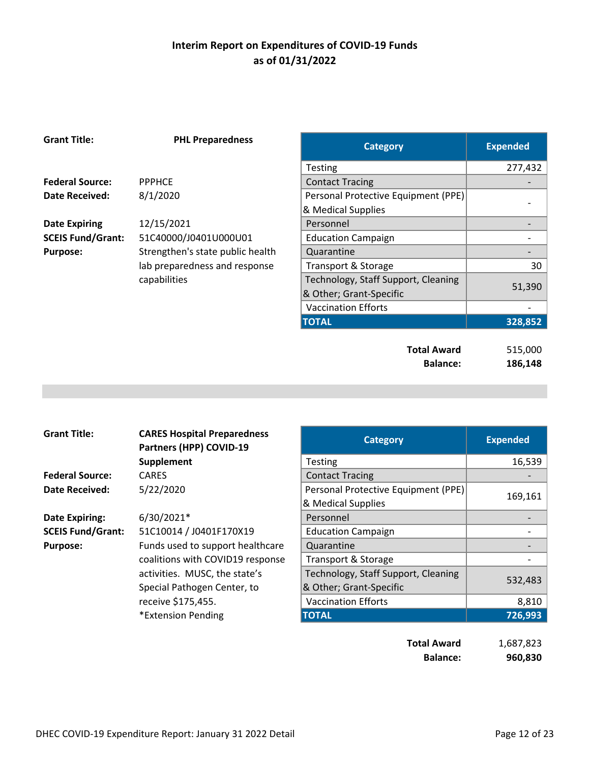| <b>Grant Title:</b>      | <b>PHL Preparedness</b>          | <b>Category</b>                       | <b>Expended</b>    |
|--------------------------|----------------------------------|---------------------------------------|--------------------|
|                          |                                  | <b>Testing</b>                        | 277,432            |
| <b>Federal Source:</b>   | <b>PPPHCE</b>                    | <b>Contact Tracing</b>                |                    |
| <b>Date Received:</b>    | 8/1/2020                         | Personal Protective Equipment (PPE)   |                    |
|                          |                                  | & Medical Supplies                    |                    |
| <b>Date Expiring</b>     | 12/15/2021                       | Personnel                             |                    |
| <b>SCEIS Fund/Grant:</b> | 51C40000/J0401U000U01            | <b>Education Campaign</b>             |                    |
| <b>Purpose:</b>          | Strengthen's state public health | Quarantine                            |                    |
|                          | lab preparedness and response    | Transport & Storage                   | 30                 |
|                          | capabilities                     | Technology, Staff Support, Cleaning   | 51,390             |
|                          |                                  | & Other; Grant-Specific               |                    |
|                          |                                  | <b>Vaccination Efforts</b>            |                    |
|                          |                                  | <b>TOTAL</b>                          | 328,852            |
|                          |                                  | <b>Total Award</b><br><b>Balance:</b> | 515,000<br>186,148 |
|                          |                                  |                                       |                    |

| <b>Grant Title:</b>      | <b>CARES Hospital Preparedness</b><br>Partners (HPP) COVID-19 | <b>Category</b>                     | <b>Expended</b> |
|--------------------------|---------------------------------------------------------------|-------------------------------------|-----------------|
|                          | Supplement                                                    | <b>Testing</b>                      | 16,539          |
| <b>Federal Source:</b>   | <b>CARES</b>                                                  | <b>Contact Tracing</b>              |                 |
| Date Received:           | 5/22/2020                                                     | Personal Protective Equipment (PPE) |                 |
|                          |                                                               | & Medical Supplies                  | 169,161         |
| <b>Date Expiring:</b>    | 6/30/2021*                                                    | Personnel                           |                 |
| <b>SCEIS Fund/Grant:</b> | 51C10014 / J0401F170X19                                       | <b>Education Campaign</b>           |                 |
| <b>Purpose:</b>          | Funds used to support healthcare                              | Quarantine                          |                 |
|                          | coalitions with COVID19 response                              | Transport & Storage                 |                 |
|                          | activities. MUSC, the state's                                 | Technology, Staff Support, Cleaning |                 |
|                          | Special Pathogen Center, to                                   | & Other; Grant-Specific             | 532,483         |
|                          | receive \$175,455.                                            | <b>Vaccination Efforts</b>          | 8,810           |
|                          | *Extension Pending                                            | <b>TOTAL</b>                        | 726,993         |
|                          |                                                               |                                     |                 |

| <b>Total Award</b> | 1,687,823 |
|--------------------|-----------|
| <b>Balance:</b>    | 960,830   |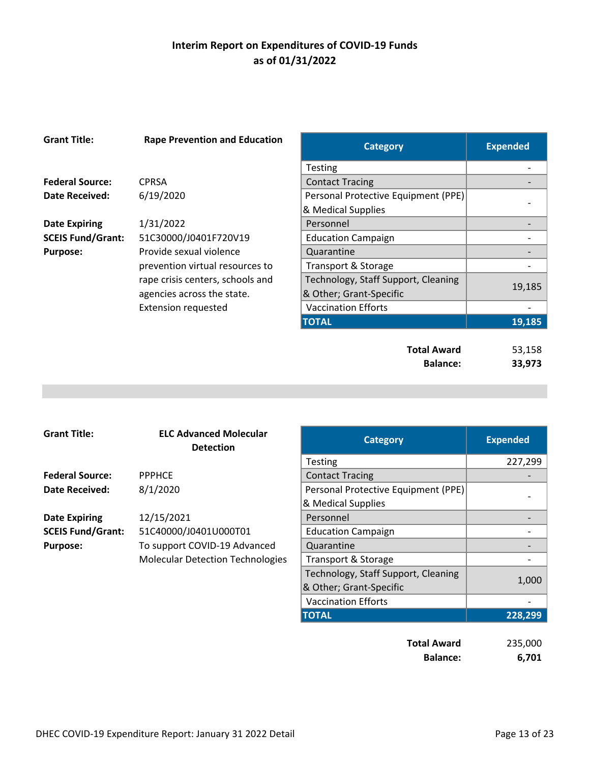| <b>Grant Title:</b>      | <b>Rape Prevention and Education</b> | <b>Category</b>                       | <b>Expended</b>  |
|--------------------------|--------------------------------------|---------------------------------------|------------------|
|                          |                                      | <b>Testing</b>                        |                  |
| <b>Federal Source:</b>   | <b>CPRSA</b>                         | <b>Contact Tracing</b>                |                  |
| Date Received:           | 6/19/2020                            | Personal Protective Equipment (PPE)   |                  |
|                          |                                      | & Medical Supplies                    |                  |
| <b>Date Expiring</b>     | 1/31/2022                            | Personnel                             |                  |
| <b>SCEIS Fund/Grant:</b> | 51C30000/J0401F720V19                | <b>Education Campaign</b>             |                  |
| <b>Purpose:</b>          | Provide sexual violence              | Quarantine                            |                  |
|                          | prevention virtual resources to      | Transport & Storage                   |                  |
|                          | rape crisis centers, schools and     | Technology, Staff Support, Cleaning   |                  |
|                          | agencies across the state.           | & Other; Grant-Specific               | 19,185           |
|                          | <b>Extension requested</b>           | <b>Vaccination Efforts</b>            |                  |
|                          |                                      | <b>TOTAL</b>                          | 19,185           |
|                          |                                      | <b>Total Award</b><br><b>Balance:</b> | 53,158<br>33,973 |

| <b>Grant Title:</b>      | <b>ELC Advanced Molecular</b><br><b>Detection</b> | <b>Category</b>                     | <b>Expended</b> |
|--------------------------|---------------------------------------------------|-------------------------------------|-----------------|
|                          |                                                   | <b>Testing</b>                      | 227,2           |
| <b>Federal Source:</b>   | <b>PPPHCE</b>                                     | <b>Contact Tracing</b>              |                 |
| <b>Date Received:</b>    | 8/1/2020                                          | Personal Protective Equipment (PPE) |                 |
|                          |                                                   | & Medical Supplies                  |                 |
| <b>Date Expiring</b>     | 12/15/2021                                        | Personnel                           |                 |
| <b>SCEIS Fund/Grant:</b> | 51C40000/J0401U000T01                             | <b>Education Campaign</b>           |                 |
| <b>Purpose:</b>          | To support COVID-19 Advanced                      | Quarantine                          |                 |
|                          | <b>Molecular Detection Technologies</b>           | Transport & Storage                 |                 |
|                          |                                                   | Technology, Staff Support, Cleaning |                 |
|                          |                                                   | & Other; Grant-Specific             | 1,0             |
|                          |                                                   |                                     |                 |

| anced Molecular<br>Detection | <b>Category</b>                     | <b>Expended</b> |
|------------------------------|-------------------------------------|-----------------|
|                              | <b>Testing</b>                      | 227,299         |
|                              | <b>Contact Tracing</b>              |                 |
|                              | Personal Protective Equipment (PPE) |                 |
|                              | & Medical Supplies                  |                 |
|                              | Personnel                           |                 |
| 0401U000T01                  | <b>Education Campaign</b>           |                 |
| COVID-19 Advanced            | Quarantine                          |                 |
| etection Technologies        | Transport & Storage                 |                 |
|                              | Technology, Staff Support, Cleaning |                 |
|                              | & Other; Grant-Specific             | 1,000           |
|                              | <b>Vaccination Efforts</b>          |                 |
|                              | <b>TOTAL</b>                        | 228,299         |

| <b>Total Award</b> | 235,000 |
|--------------------|---------|
| <b>Balance:</b>    | 6,701   |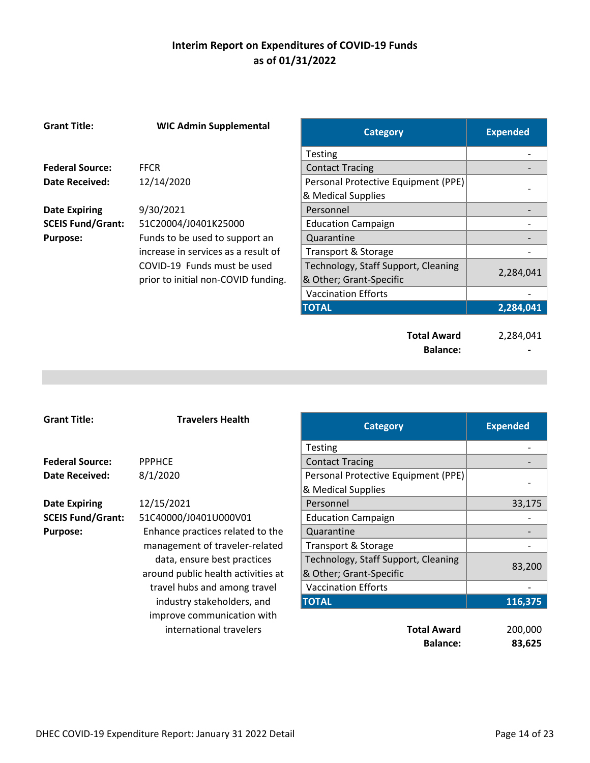| <b>Grant Title:</b>      | <b>WIC Admin Supplemental</b>       | <b>Category</b>                       | <b>Expended</b> |
|--------------------------|-------------------------------------|---------------------------------------|-----------------|
|                          |                                     | <b>Testing</b>                        |                 |
| <b>Federal Source:</b>   | <b>FFCR</b>                         | <b>Contact Tracing</b>                |                 |
| <b>Date Received:</b>    | 12/14/2020                          | Personal Protective Equipment (PPE)   |                 |
|                          |                                     | & Medical Supplies                    |                 |
| <b>Date Expiring</b>     | 9/30/2021                           | Personnel                             |                 |
| <b>SCEIS Fund/Grant:</b> | 51C20004/J0401K25000                | <b>Education Campaign</b>             |                 |
| <b>Purpose:</b>          | Funds to be used to support an      | Quarantine                            |                 |
|                          | increase in services as a result of | Transport & Storage                   |                 |
|                          | COVID-19 Funds must be used         | Technology, Staff Support, Cleaning   | 2,284,041       |
|                          | prior to initial non-COVID funding. | & Other; Grant-Specific               |                 |
|                          |                                     | <b>Vaccination Efforts</b>            |                 |
|                          |                                     | <b>TOTAL</b>                          | 2,284,041       |
|                          |                                     | <b>Total Award</b><br><b>Balance:</b> | 2,284,041       |

| <b>Grant Title:</b>      | <b>Travelers Health</b>            | <b>Category</b>                                           | <b>Expended</b> |
|--------------------------|------------------------------------|-----------------------------------------------------------|-----------------|
|                          |                                    | <b>Testing</b>                                            |                 |
| <b>Federal Source:</b>   | <b>PPPHCE</b>                      | <b>Contact Tracing</b>                                    |                 |
| <b>Date Received:</b>    | 8/1/2020                           | Personal Protective Equipment (PPE)<br>& Medical Supplies |                 |
| <b>Date Expiring</b>     | 12/15/2021                         | Personnel                                                 | 33,175          |
| <b>SCEIS Fund/Grant:</b> | 51C40000/J0401U000V01              | <b>Education Campaign</b>                                 |                 |
| <b>Purpose:</b>          | Enhance practices related to the   | Quarantine                                                |                 |
|                          | management of traveler-related     | Transport & Storage                                       |                 |
|                          | data, ensure best practices        | Technology, Staff Support, Cleaning                       |                 |
|                          | around public health activities at | & Other; Grant-Specific                                   | 83,200          |
|                          | travel hubs and among travel       | <b>Vaccination Efforts</b>                                |                 |
|                          | industry stakeholders, and         | <b>TOTAL</b>                                              | 116,375         |
|                          | improve communication with         |                                                           |                 |
|                          | international travelers            | <b>Total Award</b>                                        | 200,000         |
|                          |                                    | <b>Balance:</b>                                           | 83,625          |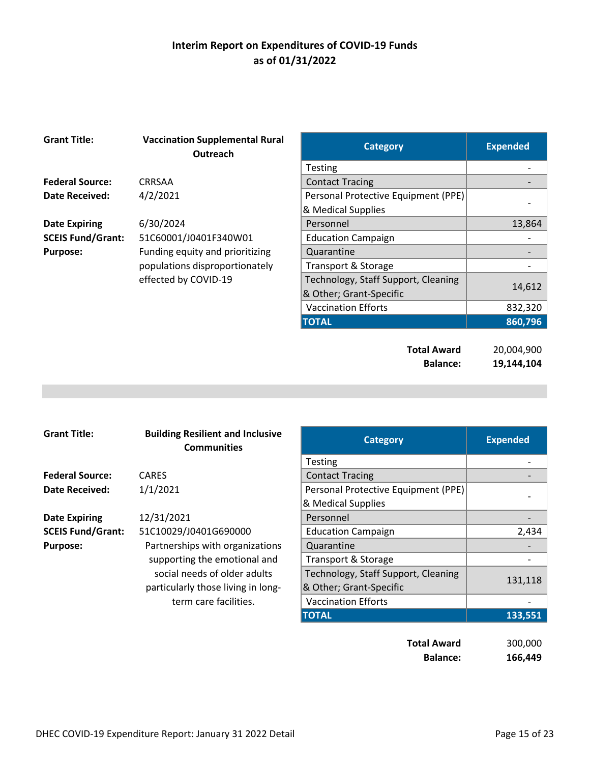| <b>Grant Title:</b>      | <b>Vaccination Supplemental Rural</b><br>Outreach | <b>Category</b>                     | <b>Expended</b> |
|--------------------------|---------------------------------------------------|-------------------------------------|-----------------|
|                          |                                                   | <b>Testing</b>                      |                 |
| <b>Federal Source:</b>   | CRRSAA                                            | <b>Contact Tracing</b>              |                 |
| Date Received:           | 4/2/2021                                          | Personal Protective Equipment (PPE) |                 |
|                          |                                                   | & Medical Supplies                  |                 |
| <b>Date Expiring</b>     | 6/30/2024                                         | Personnel                           | 13,864          |
| <b>SCEIS Fund/Grant:</b> | 51C60001/J0401F340W01                             | <b>Education Campaign</b>           |                 |
| <b>Purpose:</b>          | Funding equity and prioritizing                   | Quarantine                          |                 |
|                          | populations disproportionately                    | Transport & Storage                 |                 |
|                          | effected by COVID-19                              | Technology, Staff Support, Cleaning | 14,612          |
|                          |                                                   | & Other; Grant-Specific             |                 |
|                          |                                                   | <b>Vaccination Efforts</b>          | 832,320         |
|                          |                                                   | <b>TOTAL</b>                        | 860,796         |
|                          |                                                   |                                     |                 |
|                          |                                                   | <b>Total Award</b>                  | 20,004,900      |
|                          |                                                   | <b>Balance:</b>                     | 19,144,104      |

| <b>Grant Title:</b>      | <b>Building Resilient and Inclusive</b><br><b>Communities</b> | <b>Category</b>                     | <b>Expended</b> |
|--------------------------|---------------------------------------------------------------|-------------------------------------|-----------------|
|                          |                                                               | <b>Testing</b>                      |                 |
| <b>Federal Source:</b>   | <b>CARES</b>                                                  | <b>Contact Tracing</b>              |                 |
| <b>Date Received:</b>    | 1/1/2021                                                      | Personal Protective Equipment (PPE) |                 |
|                          |                                                               | & Medical Supplies                  |                 |
| <b>Date Expiring</b>     | 12/31/2021                                                    | Personnel                           |                 |
| <b>SCEIS Fund/Grant:</b> | 51C10029/J0401G690000                                         | <b>Education Campaign</b>           | 2,434           |
| <b>Purpose:</b>          | Partnerships with organizations                               | Quarantine                          |                 |
|                          | supporting the emotional and                                  | Transport & Storage                 |                 |
|                          | social needs of older adults                                  | Technology, Staff Support, Cleaning |                 |
|                          | particularly those living in long-                            | & Other; Grant-Specific             | 131,118         |
|                          | term care facilities.                                         | <b>Vaccination Efforts</b>          |                 |
|                          |                                                               | <b>TOTAL</b>                        | 133,551         |

| <b>Total Award</b> | 300,000 |
|--------------------|---------|
| <b>Balance:</b>    | 166,449 |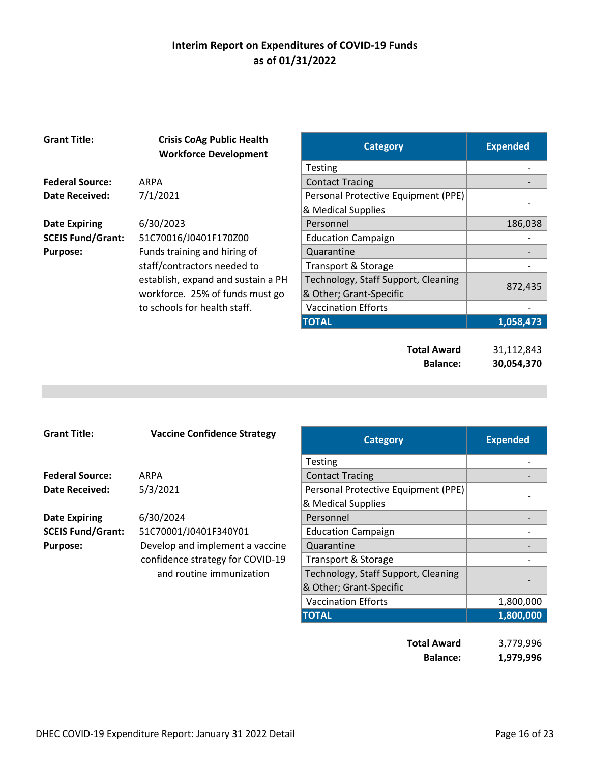| <b>Grant Title:</b>      | <b>Crisis CoAg Public Health</b><br><b>Workforce Development</b> | <b>Category</b>                     | <b>Expended</b> |
|--------------------------|------------------------------------------------------------------|-------------------------------------|-----------------|
|                          |                                                                  | <b>Testing</b>                      |                 |
| <b>Federal Source:</b>   | <b>ARPA</b>                                                      | <b>Contact Tracing</b>              |                 |
| <b>Date Received:</b>    | 7/1/2021                                                         | Personal Protective Equipment (PPE) |                 |
|                          |                                                                  | & Medical Supplies                  |                 |
| <b>Date Expiring</b>     | 6/30/2023                                                        | Personnel                           | 186,038         |
| <b>SCEIS Fund/Grant:</b> | 51C70016/J0401F170Z00                                            | <b>Education Campaign</b>           |                 |
| <b>Purpose:</b>          | Funds training and hiring of                                     | Quarantine                          |                 |
|                          | staff/contractors needed to                                      | Transport & Storage                 |                 |
|                          | establish, expand and sustain a PH                               | Technology, Staff Support, Cleaning |                 |
|                          | workforce. 25% of funds must go                                  | & Other; Grant-Specific             | 872,435         |
|                          | to schools for health staff.                                     | <b>Vaccination Efforts</b>          |                 |
|                          |                                                                  | <b>TOTAL</b>                        | 1,058,473       |
|                          |                                                                  |                                     |                 |
|                          |                                                                  | <b>Total Award</b>                  | 31,112,843      |
|                          |                                                                  | <b>Balance:</b>                     | 30,054,370      |

| <b>Grant Title:</b>      | <b>Vaccine Confidence Strategy</b> | <b>Category</b>                     | <b>Expended</b> |
|--------------------------|------------------------------------|-------------------------------------|-----------------|
|                          |                                    | <b>Testing</b>                      |                 |
| <b>Federal Source:</b>   | ARPA                               | <b>Contact Tracing</b>              |                 |
| Date Received:           | 5/3/2021                           | Personal Protective Equipment (PPE) |                 |
|                          |                                    | & Medical Supplies                  |                 |
| <b>Date Expiring</b>     | 6/30/2024                          | Personnel                           |                 |
| <b>SCEIS Fund/Grant:</b> | 51C70001/J0401F340Y01              | <b>Education Campaign</b>           |                 |
| <b>Purpose:</b>          | Develop and implement a vaccine    | Quarantine                          |                 |
|                          | confidence strategy for COVID-19   | Transport & Storage                 |                 |
|                          | and routine immunization           | Technology, Staff Support, Cleaning |                 |
|                          |                                    | & Other; Grant-Specific             |                 |
|                          |                                    | <b>Vaccination Efforts</b>          | 1,800,000       |
|                          |                                    | <b>TOTAL</b>                        | 1,800,000       |
|                          |                                    |                                     |                 |

| <b>Total Award</b> | 3,779,996 |
|--------------------|-----------|
| <b>Balance:</b>    | 1,979,996 |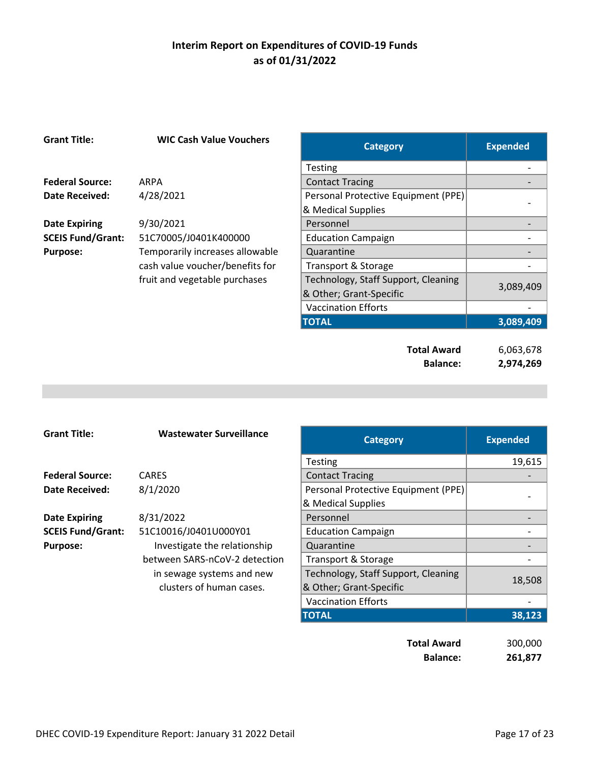| <b>Grant Title:</b>      | <b>WIC Cash Value Vouchers</b>  | <b>Category</b>                     | <b>Expended</b> |
|--------------------------|---------------------------------|-------------------------------------|-----------------|
|                          |                                 | Testing                             |                 |
| <b>Federal Source:</b>   | <b>ARPA</b>                     | <b>Contact Tracing</b>              |                 |
| <b>Date Received:</b>    | 4/28/2021                       | Personal Protective Equipment (PPE) |                 |
|                          |                                 | & Medical Supplies                  |                 |
| <b>Date Expiring</b>     | 9/30/2021                       | Personnel                           |                 |
| <b>SCEIS Fund/Grant:</b> | 51C70005/J0401K400000           | <b>Education Campaign</b>           |                 |
| <b>Purpose:</b>          | Temporarily increases allowable | Quarantine                          |                 |
|                          | cash value voucher/benefits for | Transport & Storage                 |                 |
|                          | fruit and vegetable purchases   | Technology, Staff Support, Cleaning | 3,089,409       |
|                          |                                 | & Other; Grant-Specific             |                 |
|                          |                                 | <b>Vaccination Efforts</b>          |                 |
|                          |                                 | <b>TOTAL</b>                        | 3,089,409       |
|                          |                                 |                                     |                 |
|                          |                                 | <b>Total Award</b>                  | 6,063,678       |
|                          |                                 | <b>Balance:</b>                     | 2,974,269       |

| <b>Grant Title:</b>      | <b>Wastewater Surveillance</b> | <b>Category</b>                     | <b>Expended</b> |
|--------------------------|--------------------------------|-------------------------------------|-----------------|
|                          |                                | <b>Testing</b>                      | 19,615          |
| <b>Federal Source:</b>   | <b>CARES</b>                   | <b>Contact Tracing</b>              |                 |
| Date Received:           | 8/1/2020                       | Personal Protective Equipment (PPE) |                 |
|                          |                                | & Medical Supplies                  |                 |
| <b>Date Expiring</b>     | 8/31/2022                      | Personnel                           |                 |
| <b>SCEIS Fund/Grant:</b> | 51C10016/J0401U000Y01          | <b>Education Campaign</b>           |                 |
| <b>Purpose:</b>          | Investigate the relationship   | Quarantine                          |                 |
|                          | between SARS-nCoV-2 detection  | Transport & Storage                 |                 |
|                          | in sewage systems and new      | Technology, Staff Support, Cleaning |                 |
|                          | clusters of human cases.       | & Other; Grant-Specific             | 18,508          |
|                          |                                | <b>Vaccination Efforts</b>          |                 |
|                          |                                | <b>TOTAL</b>                        | 38,123          |
|                          |                                |                                     |                 |

| <b>Total Award</b> | 300,000 |
|--------------------|---------|
| <b>Balance:</b>    | 261,877 |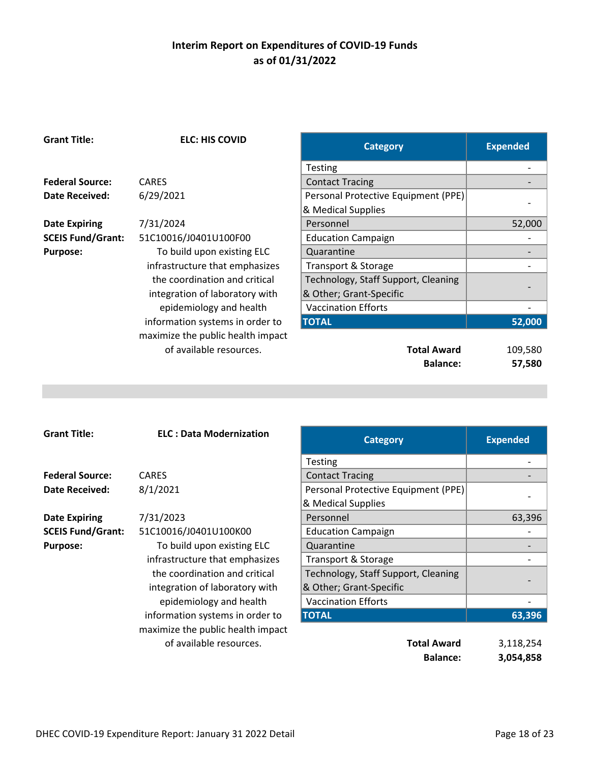| <b>Grant Title:</b>      | <b>ELC: HIS COVID</b>             | <b>Category</b>                     | <b>Expended</b> |
|--------------------------|-----------------------------------|-------------------------------------|-----------------|
|                          |                                   | <b>Testing</b>                      |                 |
| <b>Federal Source:</b>   | <b>CARES</b>                      | <b>Contact Tracing</b>              |                 |
| <b>Date Received:</b>    | 6/29/2021                         | Personal Protective Equipment (PPE) |                 |
|                          |                                   | & Medical Supplies                  |                 |
| <b>Date Expiring</b>     | 7/31/2024                         | Personnel                           | 52,000          |
| <b>SCEIS Fund/Grant:</b> | 51C10016/J0401U100F00             | <b>Education Campaign</b>           |                 |
| <b>Purpose:</b>          | To build upon existing ELC        | Quarantine                          |                 |
|                          | infrastructure that emphasizes    | Transport & Storage                 |                 |
|                          | the coordination and critical     | Technology, Staff Support, Cleaning |                 |
|                          | integration of laboratory with    | & Other; Grant-Specific             |                 |
|                          | epidemiology and health           | <b>Vaccination Efforts</b>          |                 |
|                          | information systems in order to   | <b>TOTAL</b>                        | 52,000          |
|                          | maximize the public health impact |                                     |                 |
|                          | of available resources.           | <b>Total Award</b>                  | 109,580         |
|                          |                                   | <b>Balance:</b>                     | 57,580          |

| <b>Grant Title:</b>      | <b>ELC: Data Modernization</b>    | <b>Category</b>                     | <b>Expended</b> |
|--------------------------|-----------------------------------|-------------------------------------|-----------------|
|                          |                                   | <b>Testing</b>                      |                 |
| <b>Federal Source:</b>   | <b>CARES</b>                      | <b>Contact Tracing</b>              |                 |
| Date Received:           | 8/1/2021                          | Personal Protective Equipment (PPE) |                 |
|                          |                                   | & Medical Supplies                  |                 |
| <b>Date Expiring</b>     | 7/31/2023                         | Personnel                           | 63,396          |
| <b>SCEIS Fund/Grant:</b> | 51C10016/J0401U100K00             | <b>Education Campaign</b>           |                 |
| <b>Purpose:</b>          | To build upon existing ELC        | Quarantine                          |                 |
|                          | infrastructure that emphasizes    | <b>Transport &amp; Storage</b>      |                 |
|                          | the coordination and critical     | Technology, Staff Support, Cleaning |                 |
|                          | integration of laboratory with    | & Other; Grant-Specific             |                 |
|                          | epidemiology and health           | <b>Vaccination Efforts</b>          |                 |
|                          | information systems in order to   | <b>TOTAL</b>                        | 63,396          |
|                          | maximize the public health impact |                                     |                 |
|                          | of available resources.           | <b>Total Award</b>                  | 3,118,254       |
|                          |                                   | <b>Delember</b>                     | A AP 4 APA      |

| <b>ELC: Data Modernization</b> | <b>Category</b>                     | <b>Expended</b> |
|--------------------------------|-------------------------------------|-----------------|
|                                | <b>Testing</b>                      |                 |
| ES                             | <b>Contact Tracing</b>              |                 |
| 2021                           | Personal Protective Equipment (PPE) |                 |
|                                | & Medical Supplies                  |                 |
| ./2023                         | Personnel                           | 63,396          |
| 10016/J0401U100K00             | <b>Education Campaign</b>           |                 |
| To build upon existing ELC     | Quarantine                          |                 |
| rastructure that emphasizes    | <b>Transport &amp; Storage</b>      |                 |
| he coordination and critical   | Technology, Staff Support, Cleaning |                 |
| tegration of laboratory with   | & Other; Grant-Specific             |                 |
| epidemiology and health        | <b>Vaccination Efforts</b>          |                 |
| ormation systems in order to   | <b>TOTAL</b>                        | 63,396          |
| imiza tha nuhlic haalth imnact |                                     |                 |

| <b>Total Award</b> | 3,118,254 |
|--------------------|-----------|
| <b>Balance:</b>    | 3,054,858 |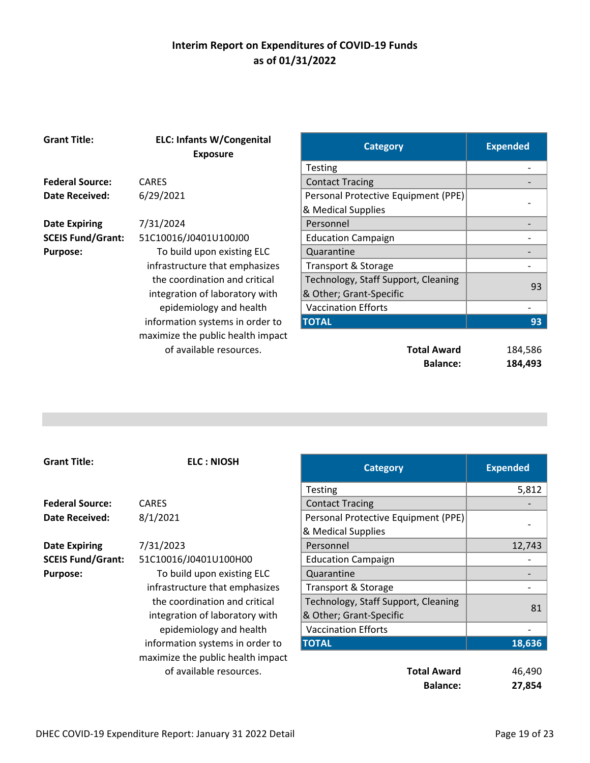| <b>Grant Title:</b>      | <b>ELC: Infants W/Congenital</b><br><b>Exposure</b> | <b>Category</b>                     | <b>Expended</b> |
|--------------------------|-----------------------------------------------------|-------------------------------------|-----------------|
|                          |                                                     | <b>Testing</b>                      |                 |
| <b>Federal Source:</b>   | <b>CARES</b>                                        | <b>Contact Tracing</b>              |                 |
| <b>Date Received:</b>    | 6/29/2021                                           | Personal Protective Equipment (PPE) |                 |
|                          |                                                     | & Medical Supplies                  |                 |
| <b>Date Expiring</b>     | 7/31/2024                                           | Personnel                           |                 |
| <b>SCEIS Fund/Grant:</b> | 51C10016/J0401U100J00                               | <b>Education Campaign</b>           |                 |
| <b>Purpose:</b>          | To build upon existing ELC                          | Quarantine                          |                 |
|                          | infrastructure that emphasizes                      | <b>Transport &amp; Storage</b>      |                 |
|                          | the coordination and critical                       | Technology, Staff Support, Cleaning | 93              |
|                          | integration of laboratory with                      | & Other; Grant-Specific             |                 |
|                          | epidemiology and health                             | <b>Vaccination Efforts</b>          |                 |
|                          | information systems in order to                     | <b>TOTAL</b>                        | 93              |
|                          | maximize the public health impact                   |                                     |                 |
|                          | of available resources.                             | <b>Total Award</b>                  | 184,586         |
|                          |                                                     | <b>Balance:</b>                     | 184,493         |

| <b>Grant Title:</b>      | <b>ELC: NIOSH</b>                 | <b>Category</b>                     | <b>Expended</b> |
|--------------------------|-----------------------------------|-------------------------------------|-----------------|
|                          |                                   | <b>Testing</b>                      | 5,812           |
| <b>Federal Source:</b>   | <b>CARES</b>                      | <b>Contact Tracing</b>              |                 |
| <b>Date Received:</b>    | 8/1/2021                          | Personal Protective Equipment (PPE) |                 |
|                          |                                   | & Medical Supplies                  |                 |
| <b>Date Expiring</b>     | 7/31/2023                         | Personnel                           | 12,743          |
| <b>SCEIS Fund/Grant:</b> | 51C10016/J0401U100H00             | <b>Education Campaign</b>           |                 |
| <b>Purpose:</b>          | To build upon existing ELC        | Quarantine                          |                 |
|                          | infrastructure that emphasizes    | Transport & Storage                 |                 |
|                          | the coordination and critical     | Technology, Staff Support, Cleaning |                 |
|                          | integration of laboratory with    | & Other; Grant-Specific             | 81              |
|                          | epidemiology and health           | <b>Vaccination Efforts</b>          |                 |
|                          | information systems in order to   | <b>TOTAL</b>                        | 18,636          |
|                          | maximize the public health impact |                                     |                 |
|                          | of available resources.           | <b>Total Award</b>                  | 46,490          |
|                          |                                   | <b>Balance:</b>                     | 27,854          |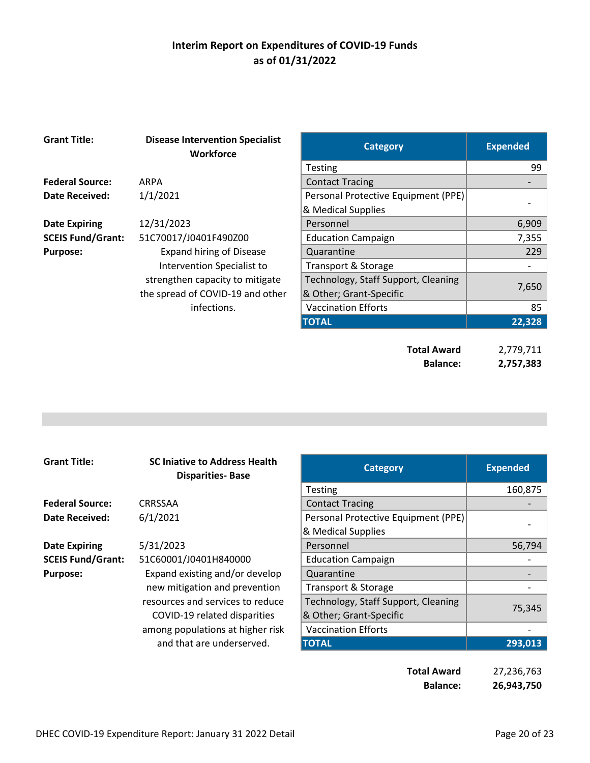| <b>Grant Title:</b>      | <b>Disease Intervention Specialist</b><br><b>Workforce</b> | <b>Category</b>                       | <b>Expended</b>        |
|--------------------------|------------------------------------------------------------|---------------------------------------|------------------------|
|                          |                                                            | <b>Testing</b>                        | 99                     |
| <b>Federal Source:</b>   | <b>ARPA</b>                                                | <b>Contact Tracing</b>                |                        |
| <b>Date Received:</b>    | 1/1/2021                                                   | Personal Protective Equipment (PPE)   |                        |
|                          |                                                            | & Medical Supplies                    |                        |
| <b>Date Expiring</b>     | 12/31/2023                                                 | Personnel                             | 6,909                  |
| <b>SCEIS Fund/Grant:</b> | 51C70017/J0401F490Z00                                      | <b>Education Campaign</b>             | 7,355                  |
| <b>Purpose:</b>          | <b>Expand hiring of Disease</b>                            | Quarantine                            | 229                    |
|                          | Intervention Specialist to                                 | Transport & Storage                   |                        |
|                          | strengthen capacity to mitigate                            | Technology, Staff Support, Cleaning   |                        |
|                          | the spread of COVID-19 and other                           | & Other; Grant-Specific               | 7,650                  |
|                          | infections.                                                | <b>Vaccination Efforts</b>            | 85                     |
|                          |                                                            | <b>TOTAL</b>                          | 22,328                 |
|                          |                                                            | <b>Total Award</b><br><b>Balance:</b> | 2,779,711<br>2,757,383 |

| <b>Grant Title:</b>      | <b>SC Injative to Address Health</b><br><b>Disparities-Base</b> | <b>Category</b>                     | <b>Expended</b> |
|--------------------------|-----------------------------------------------------------------|-------------------------------------|-----------------|
|                          |                                                                 | <b>Testing</b>                      | 160,875         |
| <b>Federal Source:</b>   | <b>CRRSSAA</b>                                                  | <b>Contact Tracing</b>              |                 |
| Date Received:           | 6/1/2021                                                        | Personal Protective Equipment (PPE) |                 |
|                          |                                                                 | & Medical Supplies                  |                 |
| <b>Date Expiring</b>     | 5/31/2023                                                       | Personnel                           | 56,794          |
| <b>SCEIS Fund/Grant:</b> | 51C60001/J0401H840000                                           | <b>Education Campaign</b>           |                 |
| <b>Purpose:</b>          | Expand existing and/or develop                                  | Quarantine                          |                 |
|                          | new mitigation and prevention                                   | Transport & Storage                 |                 |
|                          | resources and services to reduce                                | Technology, Staff Support, Cleaning |                 |
|                          | COVID-19 related disparities                                    | & Other; Grant-Specific             | 75,345          |
|                          | among populations at higher risk                                | <b>Vaccination Efforts</b>          |                 |
|                          | and that are underserved.                                       | <b>TOTAL</b>                        | 293,013         |

| Total Award     | 27,236,763 |
|-----------------|------------|
| <b>Balance:</b> | 26,943,750 |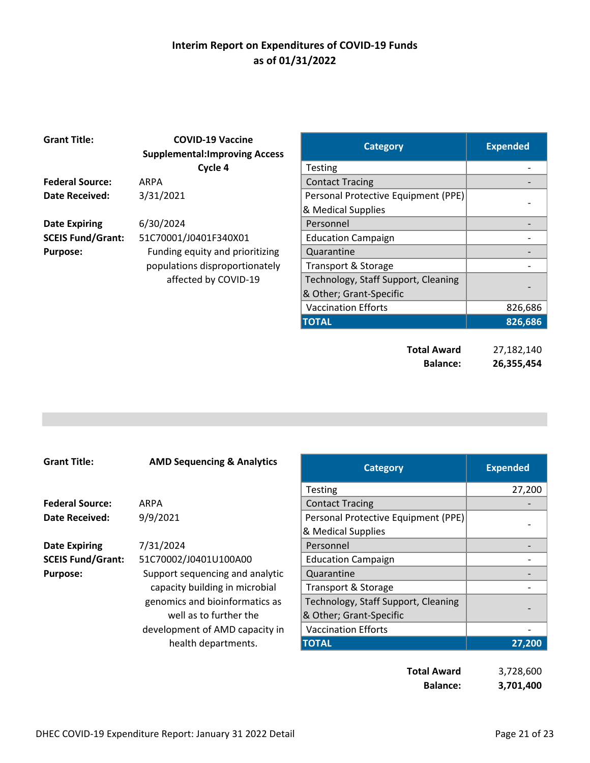| <b>Grant Title:</b>      | <b>COVID-19 Vaccine</b><br><b>Supplemental:Improving Access</b> | <b>Category</b>                     | <b>Expended</b> |
|--------------------------|-----------------------------------------------------------------|-------------------------------------|-----------------|
|                          | Cycle 4                                                         | <b>Testing</b>                      |                 |
| <b>Federal Source:</b>   | <b>ARPA</b>                                                     | <b>Contact Tracing</b>              |                 |
| <b>Date Received:</b>    | 3/31/2021                                                       | Personal Protective Equipment (PPE) |                 |
|                          |                                                                 | & Medical Supplies                  |                 |
| <b>Date Expiring</b>     | 6/30/2024                                                       | Personnel                           |                 |
| <b>SCEIS Fund/Grant:</b> | 51C70001/J0401F340X01                                           | <b>Education Campaign</b>           |                 |
| <b>Purpose:</b>          | Funding equity and prioritizing                                 | Quarantine                          |                 |
|                          | populations disproportionately                                  | <b>Transport &amp; Storage</b>      |                 |
|                          | affected by COVID-19                                            | Technology, Staff Support, Cleaning |                 |
|                          |                                                                 | & Other; Grant-Specific             |                 |
|                          |                                                                 | <b>Vaccination Efforts</b>          | 826,686         |
|                          |                                                                 | <b>TOTAL</b>                        | 826,686         |
|                          |                                                                 | <b>Total Award</b>                  | 27,182,140      |
|                          |                                                                 | <b>Balance:</b>                     | 26,355,454      |

| <b>Grant Title:</b>      | <b>AMD Sequencing &amp; Analytics</b> | <b>Category</b>                     | <b>Expended</b> |
|--------------------------|---------------------------------------|-------------------------------------|-----------------|
|                          |                                       | <b>Testing</b>                      | 27,200          |
| <b>Federal Source:</b>   | ARPA                                  | <b>Contact Tracing</b>              |                 |
| Date Received:           | 9/9/2021                              | Personal Protective Equipment (PPE) |                 |
|                          |                                       | & Medical Supplies                  |                 |
| <b>Date Expiring</b>     | 7/31/2024                             | Personnel                           |                 |
| <b>SCEIS Fund/Grant:</b> | 51C70002/J0401U100A00                 | <b>Education Campaign</b>           |                 |
| <b>Purpose:</b>          | Support sequencing and analytic       | Quarantine                          |                 |
|                          | capacity building in microbial        | Transport & Storage                 |                 |
|                          | genomics and bioinformatics as        | Technology, Staff Support, Cleaning |                 |
|                          | well as to further the                | & Other; Grant-Specific             |                 |
|                          | development of AMD capacity in        | <b>Vaccination Efforts</b>          |                 |
|                          | health departments.                   | <b>TOTAL</b>                        | 27,200          |

| Total Award     | 3,728,600 |
|-----------------|-----------|
| <b>Balance:</b> | 3,701,400 |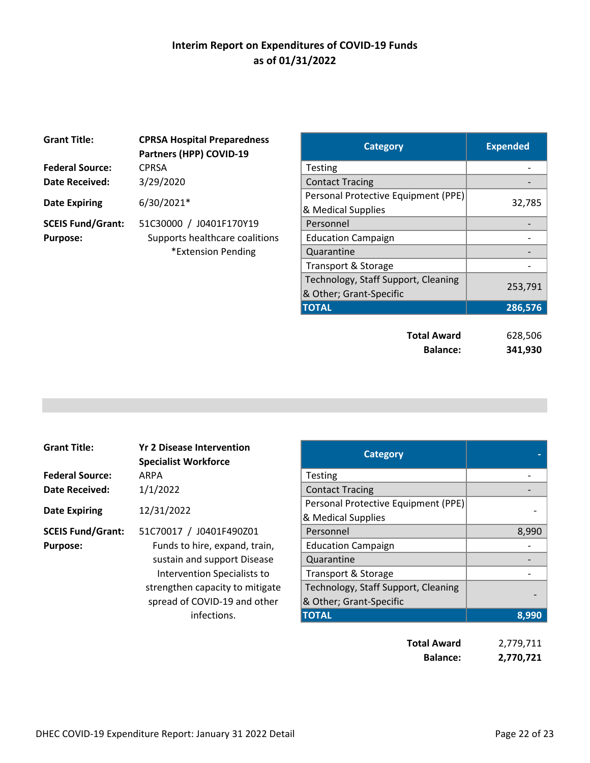| <b>Grant Title:</b>      | <b>CPRSA Hospital Preparedness</b><br>Partners (HPP) COVID-19 | Category                                                  | <b>Expended</b> |
|--------------------------|---------------------------------------------------------------|-----------------------------------------------------------|-----------------|
| <b>Federal Source:</b>   | <b>CPRSA</b>                                                  | <b>Testing</b>                                            |                 |
| <b>Date Received:</b>    | 3/29/2020                                                     | <b>Contact Tracing</b>                                    |                 |
| <b>Date Expiring</b>     | 6/30/2021*                                                    | Personal Protective Equipment (PPE)<br>& Medical Supplies | 32,7            |
| <b>SCEIS Fund/Grant:</b> | 51C30000 / J0401F170Y19                                       | Personnel                                                 |                 |
| <b>Purpose:</b>          | Supports healthcare coalitions                                | <b>Education Campaign</b>                                 |                 |
|                          | *Extension Pending                                            | Quarantine                                                |                 |
|                          |                                                               |                                                           |                 |

| <b>Category</b>                                                | <b>Expended</b>    |
|----------------------------------------------------------------|--------------------|
| <b>Testing</b>                                                 |                    |
| <b>Contact Tracing</b>                                         |                    |
| Personal Protective Equipment (PPE)<br>& Medical Supplies      | 32,785             |
| Personnel                                                      |                    |
| <b>Education Campaign</b>                                      |                    |
| Quarantine                                                     |                    |
| Transport & Storage                                            |                    |
| Technology, Staff Support, Cleaning<br>& Other; Grant-Specific | 253,791            |
| <b>TOTAL</b>                                                   | 286,576            |
| <b>Total Award</b><br><b>Balance:</b>                          | 628,506<br>341,930 |
|                                                                |                    |

| <b>Grant Title:</b>      | <b>Yr 2 Disease Intervention</b><br><b>Specialist Workforce</b> | <b>Category</b>                     |       |
|--------------------------|-----------------------------------------------------------------|-------------------------------------|-------|
| <b>Federal Source:</b>   | ARPA                                                            | <b>Testing</b>                      |       |
| <b>Date Received:</b>    | 1/1/2022                                                        | <b>Contact Tracing</b>              |       |
|                          |                                                                 | Personal Protective Equipment (PPE) |       |
| <b>Date Expiring</b>     | 12/31/2022                                                      | & Medical Supplies                  |       |
| <b>SCEIS Fund/Grant:</b> | 51C70017 / J0401F490Z01                                         | Personnel                           | 8,990 |
| <b>Purpose:</b>          | Funds to hire, expand, train,                                   | <b>Education Campaign</b>           |       |
|                          | sustain and support Disease                                     | Quarantine                          |       |
|                          | Intervention Specialists to                                     | Transport & Storage                 |       |
|                          | strengthen capacity to mitigate                                 | Technology, Staff Support, Cleaning |       |
|                          | spread of COVID-19 and other                                    | & Other; Grant-Specific             |       |
|                          | infections.                                                     | <b>TOTAL</b>                        | 8,990 |

| <b>Yr 2 Disease Intervention</b><br><b>Specialist Workforce</b> | <b>Category</b>                                                |       |
|-----------------------------------------------------------------|----------------------------------------------------------------|-------|
| ARPA                                                            | Testing                                                        |       |
| 1/1/2022                                                        | <b>Contact Tracing</b>                                         |       |
| 12/31/2022                                                      | Personal Protective Equipment (PPE)<br>& Medical Supplies      |       |
| 51C70017 / J0401F490Z01                                         | Personnel                                                      | 8,990 |
| Funds to hire, expand, train,                                   | <b>Education Campaign</b>                                      |       |
| sustain and support Disease                                     | Quarantine                                                     |       |
| Intervention Specialists to                                     | Transport & Storage                                            |       |
| strengthen capacity to mitigate<br>spread of COVID-19 and other | Technology, Staff Support, Cleaning<br>& Other; Grant-Specific |       |
| infections.                                                     | <b>TOTAL</b>                                                   | 8.990 |

| <b>Total Award</b> | 2,779,711 |
|--------------------|-----------|
| <b>Balance:</b>    | 2,770,721 |